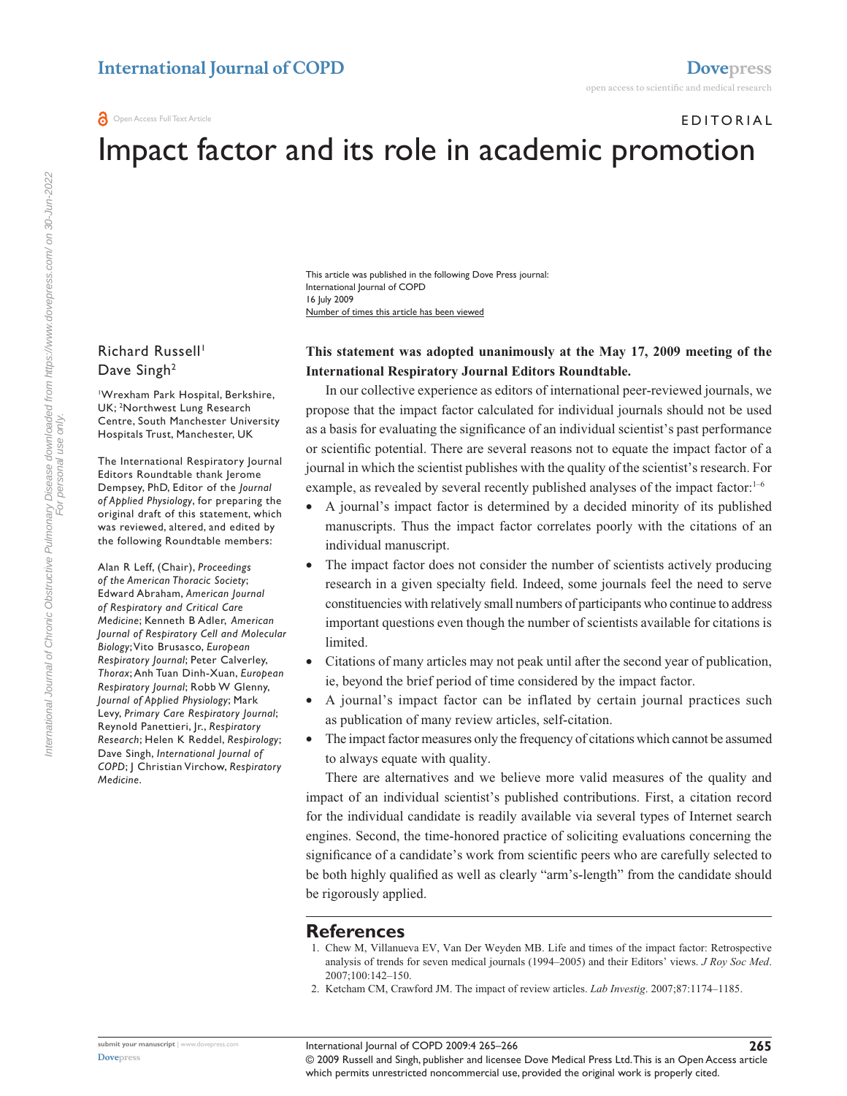# **EDITORIAL** Impact factor and its role in academic promotion

Number of times this article has been viewed This article was published in the following Dove Press journal: International Journal of COPD 16 July 2009

## Richard Russell<sup>1</sup> Dave Singh<sup>2</sup>

1 Wrexham Park Hospital, Berkshire, UK; 2 Northwest Lung Research Centre, South Manchester University Hospitals Trust, Manchester, UK

The International Respiratory Journal Editors Roundtable thank Jerome Dempsey, PhD, Editor of the *Journal of Applied Physiology*, for preparing the original draft of this statement, which was reviewed, altered, and edited by the following Roundtable members:

Alan R Leff, (Chair), *Proceedings of the American Thoracic Society*; Edward Abraham, *American Journal of Respiratory and Critical Care Medicine*; Kenneth B Adler, *American Journal of Respiratory Cell and Molecular Biology*; Vito Brusasco, *European Respiratory Journal*; Peter Calverley, *Thorax*; Anh Tuan Dinh-Xuan, *European Respiratory Journal*; Robb W Glenny, *Journal of Applied Physiology*; Mark Levy, *Primary Care Respiratory Journal*; Reynold Panettieri, Jr., *Respiratory Research*; Helen K Reddel, *Respirology*; Dave Singh, *International Journal of COPD*; J Christian Virchow, *Respiratory Medicine*.

## **This statement was adopted unanimously at the May 17, 2009 meeting of the International Respiratory Journal Editors Roundtable.**

In our collective experience as editors of international peer-reviewed journals, we propose that the impact factor calculated for individual journals should not be used as a basis for evaluating the significance of an individual scientist's past performance or scientific potential. There are several reasons not to equate the impact factor of a journal in which the scientist publishes with the quality of the scientist's research. For example, as revealed by several recently published analyses of the impact factor:<sup>1-6</sup>

- A journal's impact factor is determined by a decided minority of its published manuscripts. Thus the impact factor correlates poorly with the citations of an individual manuscript.
- The impact factor does not consider the number of scientists actively producing research in a given specialty field. Indeed, some journals feel the need to serve constituencies with relatively small numbers of participants who continue to address important questions even though the number of scientists available for citations is limited.
- Citations of many articles may not peak until after the second year of publication, ie, beyond the brief period of time considered by the impact factor.
- A journal's impact factor can be inflated by certain journal practices such as publication of many review articles, self-citation.
- The impact factor measures only the frequency of citations which cannot be assumed to always equate with quality.

There are alternatives and we believe more valid measures of the quality and impact of an individual scientist's published contributions. First, a citation record for the individual candidate is readily available via several types of Internet search engines. Second, the time-honored practice of soliciting evaluations concerning the significance of a candidate's work from scientific peers who are carefully selected to be both highly qualified as well as clearly "arm's-length" from the candidate should be rigorously applied.

## **References**

- 1. Chew M, Villanueva EV, Van Der Weyden MB. Life and times of the impact factor: Retrospective analysis of trends for seven medical journals (1994–2005) and their Editors' views. *J Roy Soc Med*. 2007;100:142–150.
- 2. Ketcham CM, Crawford JM. The impact of review articles. *Lab Investig*. 2007;87:1174–1185.

© 2009 Russell and Singh, publisher and licensee Dove Medical Press Ltd. This is an Open Access article which permits unrestricted noncommercial use, provided the original work is properly cited.

**265**